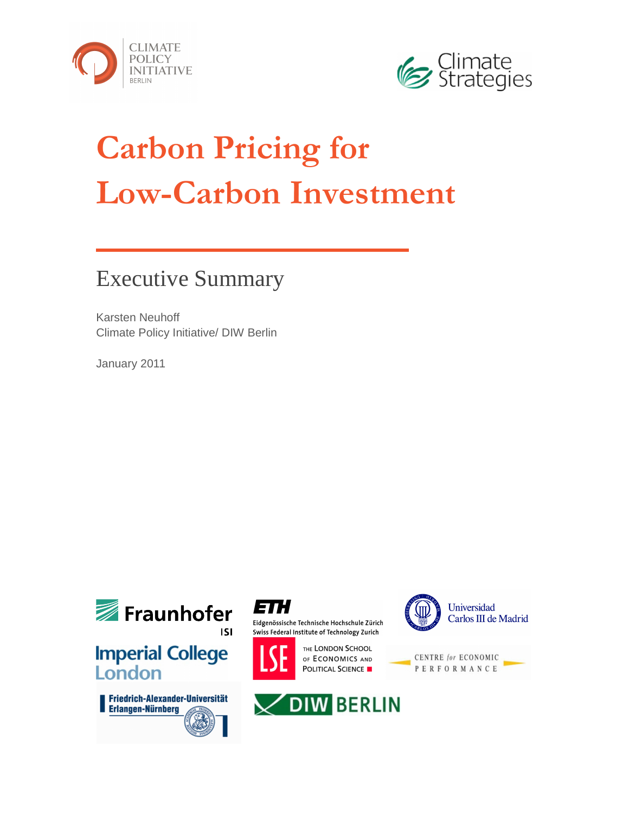



# **Carbon Pricing for Low-Carbon Investment**

# Executive Summary

Karsten Neuhoff Climate Policy Initiative/ DIW Berlin

January 2011



**Imperial College** London





Eidgenössische Technische Hochschule Zürich Swiss Federal Institute of Technology Zurich



THE LONDON SCHOOL OF ECONOMICS AND POLITICAL SCIENCE





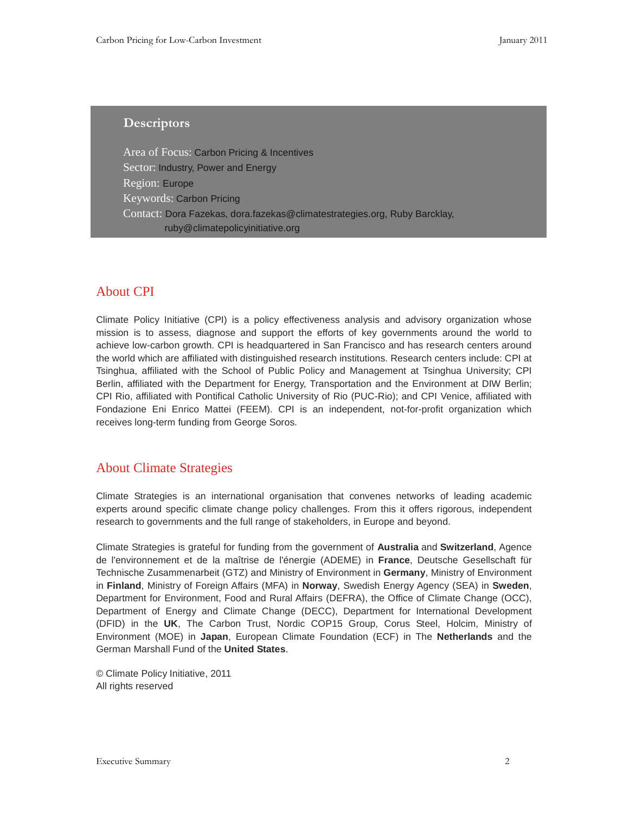# **Descriptors**

Area of Focus: Carbon Pricing & Incentives Sector: Industry, Power and Energy Region: Europe Keywords: Carbon Pricing Contact: Dora Fazekas, dora.fazekas@climatestrategies.org, Ruby Barcklay, ruby@climatepolicyinitiative.org

# About CPI

Climate Policy Initiative (CPI) is a policy effectiveness analysis and advisory organization whose mission is to assess, diagnose and support the efforts of key governments around the world to achieve low-carbon growth. CPI is headquartered in San Francisco and has research centers around the world which are affiliated with distinguished research institutions. Research centers include: CPI at Tsinghua, affiliated with the School of Public Policy and Management at Tsinghua University; CPI Berlin, affiliated with the Department for Energy, Transportation and the Environment at DIW Berlin; CPI Rio, affiliated with Pontifical Catholic University of Rio (PUC-Rio); and CPI Venice, affiliated with Fondazione Eni Enrico Mattei (FEEM). CPI is an independent, not-for-profit organization which receives long-term funding from George Soros.

# About Climate Strategies

Climate Strategies is an international organisation that convenes networks of leading academic experts around specific climate change policy challenges. From this it offers rigorous, independent research to governments and the full range of stakeholders, in Europe and beyond.

Climate Strategies is grateful for funding from the government of **Australia** and **Switzerland**, Agence de l'environnement et de la maîtrise de l'énergie (ADEME) in **France**, Deutsche Gesellschaft für Technische Zusammenarbeit (GTZ) and Ministry of Environment in **Germany**, Ministry of Environment in **Finland**, Ministry of Foreign Affairs (MFA) in **Norway**, Swedish Energy Agency (SEA) in **Sweden**, Department for Environment, Food and Rural Affairs (DEFRA), the Office of Climate Change (OCC), Department of Energy and Climate Change (DECC), Department for International Development (DFID) in the **UK**, The Carbon Trust, Nordic COP15 Group, Corus Steel, Holcim, Ministry of Environment (MOE) in **Japan**, European Climate Foundation (ECF) in The **Netherlands** and the German Marshall Fund of the **United States**.

© Climate Policy Initiative, 2011 All rights reserved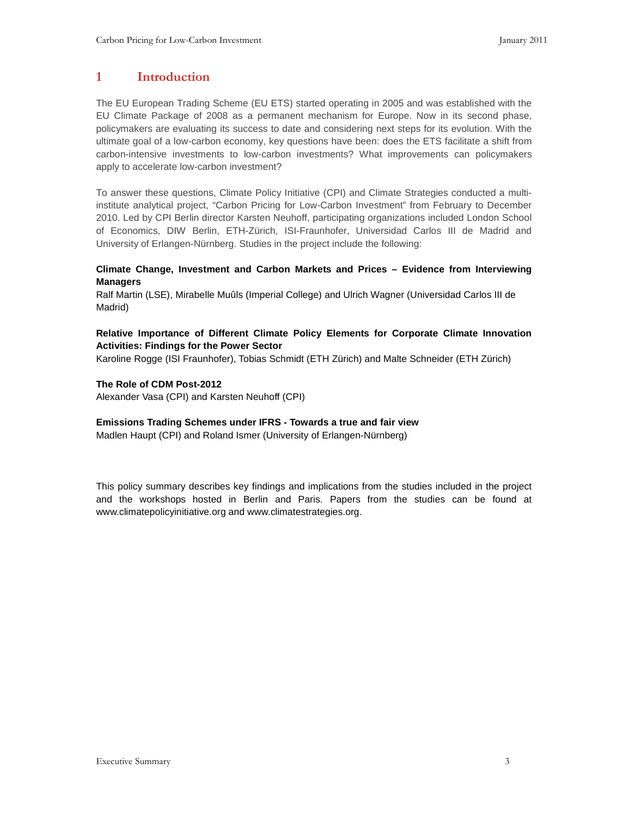# **1 Introduction**

The EU European Trading Scheme (EU ETS) started operating in 2005 and was established with the EU Climate Package of 2008 as a permanent mechanism for Europe. Now in its second phase, policymakers are evaluating its success to date and considering next steps for its evolution. With the ultimate goal of a low-carbon economy, key questions have been: does the ETS facilitate a shift from carbon-intensive investments to low-carbon investments? What improvements can policymakers apply to accelerate low-carbon investment?

To answer these questions, Climate Policy Initiative (CPI) and Climate Strategies conducted a multiinstitute analytical project, "Carbon Pricing for Low-Carbon Investment" from February to December 2010. Led by CPI Berlin director Karsten Neuhoff, participating organizations included London School of Economics, DIW Berlin, ETH-Zürich, ISI-Fraunhofer, Universidad Carlos III de Madrid and University of Erlangen-Nürnberg. Studies in the project include the following:

#### **Climate Change, Investment and Carbon Markets and Prices – Evidence from Interviewing Managers**

Ralf Martin (LSE), Mirabelle Muûls (Imperial College) and Ulrich Wagner (Universidad Carlos III de Madrid)

#### **Relative Importance of Different Climate Policy Elements for Corporate Climate Innovation Activities: Findings for the Power Sector**

Karoline Rogge (ISI Fraunhofer), Tobias Schmidt (ETH Zürich) and Malte Schneider (ETH Zürich)

#### **The Role of CDM Post-2012**

Alexander Vasa (CPI) and Karsten Neuhoff (CPI)

#### **Emissions Trading Schemes under IFRS - Towards a true and fair view**

Madlen Haupt (CPI) and Roland Ismer (University of Erlangen-Nürnberg)

This policy summary describes key findings and implications from the studies included in the project and the workshops hosted in Berlin and Paris. Papers from the studies can be found at www.climatepolicyinitiative.org and www.climatestrategies.org.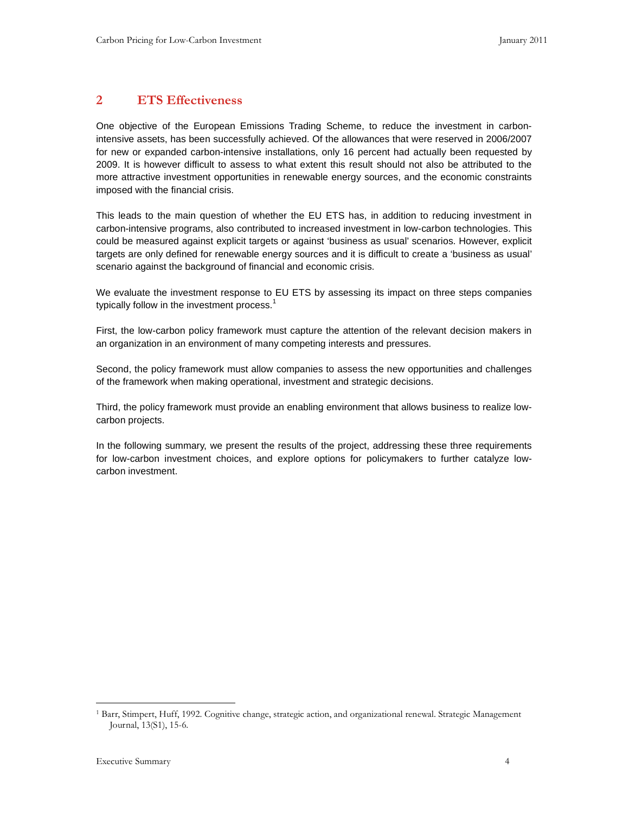# **2 ETS Effectiveness**

One objective of the European Emissions Trading Scheme, to reduce the investment in carbonintensive assets, has been successfully achieved. Of the allowances that were reserved in 2006/2007 for new or expanded carbon-intensive installations, only 16 percent had actually been requested by 2009. It is however difficult to assess to what extent this result should not also be attributed to the more attractive investment opportunities in renewable energy sources, and the economic constraints imposed with the financial crisis.

This leads to the main question of whether the EU ETS has, in addition to reducing investment in carbon-intensive programs, also contributed to increased investment in low-carbon technologies. This could be measured against explicit targets or against 'business as usual' scenarios. However, explicit targets are only defined for renewable energy sources and it is difficult to create a 'business as usual' scenario against the background of financial and economic crisis.

We evaluate the investment response to EU ETS by assessing its impact on three steps companies typically follow in the investment process.<sup>1</sup>

First, the low-carbon policy framework must capture the attention of the relevant decision makers in an organization in an environment of many competing interests and pressures.

Second, the policy framework must allow companies to assess the new opportunities and challenges of the framework when making operational, investment and strategic decisions.

Third, the policy framework must provide an enabling environment that allows business to realize lowcarbon projects.

In the following summary, we present the results of the project, addressing these three requirements for low-carbon investment choices, and explore options for policymakers to further catalyze lowcarbon investment.

-

<sup>1</sup> Barr, Stimpert, Huff, 1992. Cognitive change, strategic action, and organizational renewal. Strategic Management Journal, 13(S1), 15-6.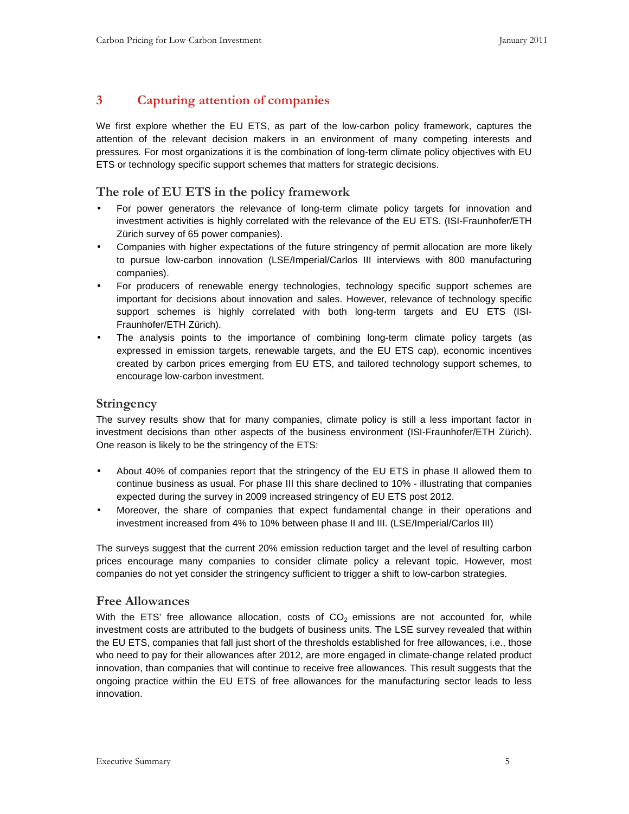# **3 Capturing attention of companies**

We first explore whether the EU ETS, as part of the low-carbon policy framework, captures the attention of the relevant decision makers in an environment of many competing interests and pressures. For most organizations it is the combination of long-term climate policy objectives with EU ETS or technology specific support schemes that matters for strategic decisions.

# **The role of EU ETS in the policy framework**

- For power generators the relevance of long-term climate policy targets for innovation and investment activities is highly correlated with the relevance of the EU ETS. (ISI-Fraunhofer/ETH Zürich survey of 65 power companies).
- Companies with higher expectations of the future stringency of permit allocation are more likely to pursue low-carbon innovation (LSE/Imperial/Carlos III interviews with 800 manufacturing companies).
- For producers of renewable energy technologies, technology specific support schemes are important for decisions about innovation and sales. However, relevance of technology specific support schemes is highly correlated with both long-term targets and EU ETS (ISI-Fraunhofer/ETH Zürich).
- The analysis points to the importance of combining long-term climate policy targets (as expressed in emission targets, renewable targets, and the EU ETS cap), economic incentives created by carbon prices emerging from EU ETS, and tailored technology support schemes, to encourage low-carbon investment.

#### **Stringency**

The survey results show that for many companies, climate policy is still a less important factor in investment decisions than other aspects of the business environment (ISI-Fraunhofer/ETH Zürich). One reason is likely to be the stringency of the ETS:

- About 40% of companies report that the stringency of the EU ETS in phase II allowed them to continue business as usual. For phase III this share declined to 10% - illustrating that companies expected during the survey in 2009 increased stringency of EU ETS post 2012.
- Moreover, the share of companies that expect fundamental change in their operations and investment increased from 4% to 10% between phase II and III. (LSE/Imperial/Carlos III)

The surveys suggest that the current 20% emission reduction target and the level of resulting carbon prices encourage many companies to consider climate policy a relevant topic. However, most companies do not yet consider the stringency sufficient to trigger a shift to low-carbon strategies.

#### **Free Allowances**

With the ETS' free allowance allocation, costs of  $CO<sub>2</sub>$  emissions are not accounted for, while investment costs are attributed to the budgets of business units. The LSE survey revealed that within the EU ETS, companies that fall just short of the thresholds established for free allowances, i.e., those who need to pay for their allowances after 2012, are more engaged in climate-change related product innovation, than companies that will continue to receive free allowances. This result suggests that the ongoing practice within the EU ETS of free allowances for the manufacturing sector leads to less innovation.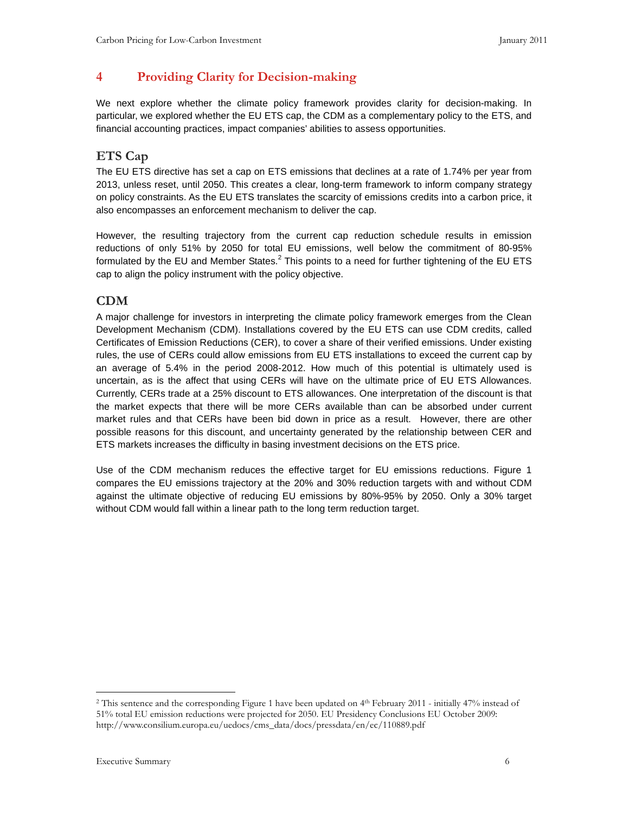# **4 Providing Clarity for Decision-making**

We next explore whether the climate policy framework provides clarity for decision-making. In particular, we explored whether the EU ETS cap, the CDM as a complementary policy to the ETS, and financial accounting practices, impact companies' abilities to assess opportunities.

# **ETS Cap**

The EU ETS directive has set a cap on ETS emissions that declines at a rate of 1.74% per year from 2013, unless reset, until 2050. This creates a clear, long-term framework to inform company strategy on policy constraints. As the EU ETS translates the scarcity of emissions credits into a carbon price, it also encompasses an enforcement mechanism to deliver the cap.

However, the resulting trajectory from the current cap reduction schedule results in emission reductions of only 51% by 2050 for total EU emissions, well below the commitment of 80-95% formulated by the EU and Member States.<sup>2</sup> This points to a need for further tightening of the EU ETS cap to align the policy instrument with the policy objective.

# **CDM**

A major challenge for investors in interpreting the climate policy framework emerges from the Clean Development Mechanism (CDM). Installations covered by the EU ETS can use CDM credits, called Certificates of Emission Reductions (CER), to cover a share of their verified emissions. Under existing rules, the use of CERs could allow emissions from EU ETS installations to exceed the current cap by an average of 5.4% in the period 2008-2012. How much of this potential is ultimately used is uncertain, as is the affect that using CERs will have on the ultimate price of EU ETS Allowances. Currently, CERs trade at a 25% discount to ETS allowances. One interpretation of the discount is that the market expects that there will be more CERs available than can be absorbed under current market rules and that CERs have been bid down in price as a result. However, there are other possible reasons for this discount, and uncertainty generated by the relationship between CER and ETS markets increases the difficulty in basing investment decisions on the ETS price.

Use of the CDM mechanism reduces the effective target for EU emissions reductions. Figure 1 compares the EU emissions trajectory at the 20% and 30% reduction targets with and without CDM against the ultimate objective of reducing EU emissions by 80%-95% by 2050. Only a 30% target without CDM would fall within a linear path to the long term reduction target.

-

<sup>2</sup> This sentence and the corresponding Figure 1 have been updated on 4th February 2011 - initially 47% instead of 51% total EU emission reductions were projected for 2050. EU Presidency Conclusions EU October 2009: http://www.consilium.europa.eu/uedocs/cms\_data/docs/pressdata/en/ec/110889.pdf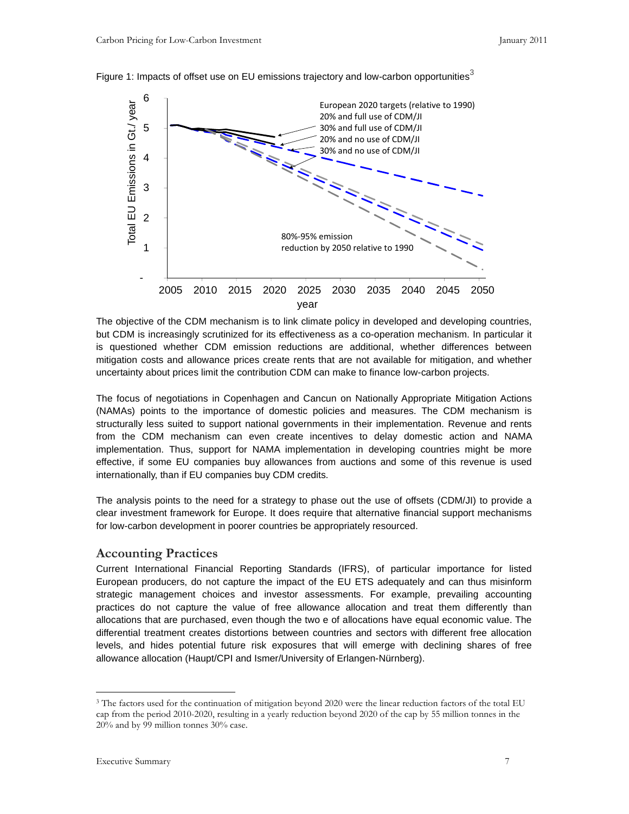

Figure 1: Impacts of offset use on EU emissions trajectory and low-carbon opportunities $3$ 

The objective of the CDM mechanism is to link climate policy in developed and developing countries, but CDM is increasingly scrutinized for its effectiveness as a co-operation mechanism. In particular it is questioned whether CDM emission reductions are additional, whether differences between mitigation costs and allowance prices create rents that are not available for mitigation, and whether uncertainty about prices limit the contribution CDM can make to finance low-carbon projects.

The focus of negotiations in Copenhagen and Cancun on Nationally Appropriate Mitigation Actions (NAMAs) points to the importance of domestic policies and measures. The CDM mechanism is structurally less suited to support national governments in their implementation. Revenue and rents from the CDM mechanism can even create incentives to delay domestic action and NAMA implementation. Thus, support for NAMA implementation in developing countries might be more effective, if some EU companies buy allowances from auctions and some of this revenue is used internationally, than if EU companies buy CDM credits.

The analysis points to the need for a strategy to phase out the use of offsets (CDM/JI) to provide a clear investment framework for Europe. It does require that alternative financial support mechanisms for low-carbon development in poorer countries be appropriately resourced.

#### **Accounting Practices**

Current International Financial Reporting Standards (IFRS), of particular importance for listed European producers, do not capture the impact of the EU ETS adequately and can thus misinform strategic management choices and investor assessments. For example, prevailing accounting practices do not capture the value of free allowance allocation and treat them differently than allocations that are purchased, even though the two e of allocations have equal economic value. The differential treatment creates distortions between countries and sectors with different free allocation levels, and hides potential future risk exposures that will emerge with declining shares of free allowance allocation (Haupt/CPI and Ismer/University of Erlangen-Nürnberg).

-

<sup>&</sup>lt;sup>3</sup> The factors used for the continuation of mitigation beyond 2020 were the linear reduction factors of the total EU cap from the period 2010-2020, resulting in a yearly reduction beyond 2020 of the cap by 55 million tonnes in the 20% and by 99 million tonnes 30% case.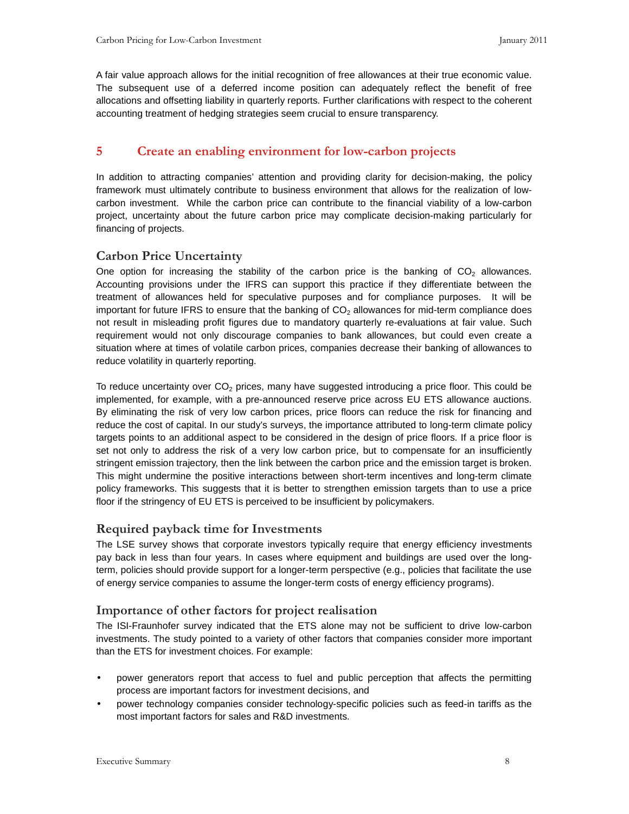A fair value approach allows for the initial recognition of free allowances at their true economic value. The subsequent use of a deferred income position can adequately reflect the benefit of free allocations and offsetting liability in quarterly reports. Further clarifications with respect to the coherent accounting treatment of hedging strategies seem crucial to ensure transparency.

# **5 Create an enabling environment for low-carbon projects**

In addition to attracting companies' attention and providing clarity for decision-making, the policy framework must ultimately contribute to business environment that allows for the realization of lowcarbon investment. While the carbon price can contribute to the financial viability of a low-carbon project, uncertainty about the future carbon price may complicate decision-making particularly for financing of projects.

# **Carbon Price Uncertainty**

One option for increasing the stability of the carbon price is the banking of  $CO<sub>2</sub>$  allowances. Accounting provisions under the IFRS can support this practice if they differentiate between the treatment of allowances held for speculative purposes and for compliance purposes. It will be important for future IFRS to ensure that the banking of  $CO<sub>2</sub>$  allowances for mid-term compliance does not result in misleading profit figures due to mandatory quarterly re-evaluations at fair value. Such requirement would not only discourage companies to bank allowances, but could even create a situation where at times of volatile carbon prices, companies decrease their banking of allowances to reduce volatility in quarterly reporting.

To reduce uncertainty over  $CO<sub>2</sub>$  prices, many have suggested introducing a price floor. This could be implemented, for example, with a pre-announced reserve price across EU ETS allowance auctions. By eliminating the risk of very low carbon prices, price floors can reduce the risk for financing and reduce the cost of capital. In our study's surveys, the importance attributed to long-term climate policy targets points to an additional aspect to be considered in the design of price floors. If a price floor is set not only to address the risk of a very low carbon price, but to compensate for an insufficiently stringent emission trajectory, then the link between the carbon price and the emission target is broken. This might undermine the positive interactions between short-term incentives and long-term climate policy frameworks. This suggests that it is better to strengthen emission targets than to use a price floor if the stringency of EU ETS is perceived to be insufficient by policymakers.

# **Required payback time for Investments**

The LSE survey shows that corporate investors typically require that energy efficiency investments pay back in less than four years. In cases where equipment and buildings are used over the longterm, policies should provide support for a longer-term perspective (e.g., policies that facilitate the use of energy service companies to assume the longer-term costs of energy efficiency programs).

# **Importance of other factors for project realisation**

The ISI-Fraunhofer survey indicated that the ETS alone may not be sufficient to drive low-carbon investments. The study pointed to a variety of other factors that companies consider more important than the ETS for investment choices. For example:

- power generators report that access to fuel and public perception that affects the permitting process are important factors for investment decisions, and
- power technology companies consider technology-specific policies such as feed-in tariffs as the most important factors for sales and R&D investments.